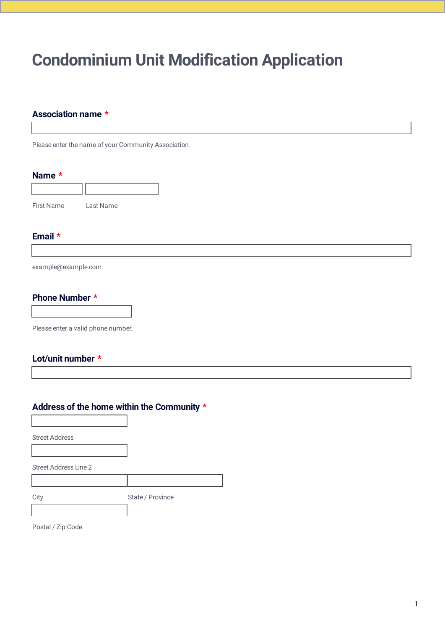In order to submit this form, you should open it with Adobe Acrobat Reader.

# **Condominium Unit Modification Application**

## **Association name \***

Please enter the name of your Community Association.

#### Name \*



## Email  $*$

example@example.com

### **Phone Number \***

Please enter a valid phone number.

## Lot/unit number \*

## Address of the home within the Community \*

**Street Address** 

Street Address Line 2

City State / Province

Postal / Zip Code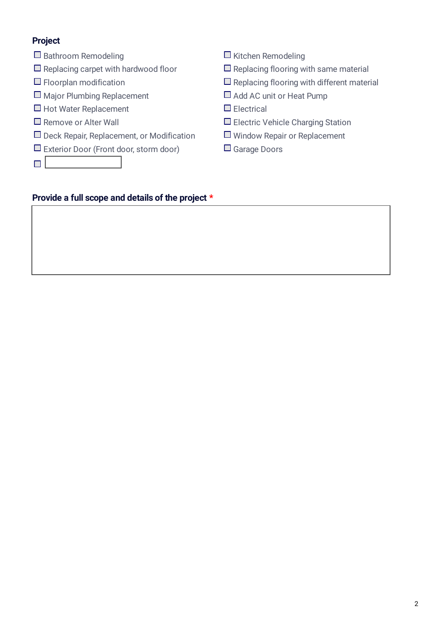# **Project**

- $\Box$  Bathroom Remodeling
- $\Box$  Replacing carpet with hardwood floor
- $\Box$  Floorplan modification
- $\Box$  Major Plumbing Replacement
- $\Box$  Hot Water Replacement
- $\Box$  Remove or Alter Wall
- $\Box$  Deck Repair, Replacement, or Modification
- $\Box$  Exterior Door (Front door, storm door)
- $\Box$
- $\Box$  Kitchen Remodeling
- $\Box$  Replacing flooring with same material
- $\Box$  Replacing flooring with different material
- Add AC unit or Heat Pump
- $\Box$  Electrical
- Electric Vehicle Charging Station
- $\Box$  Window Repair or Replacement
- Garage Doors

# Provide a full scope and details of the project \*